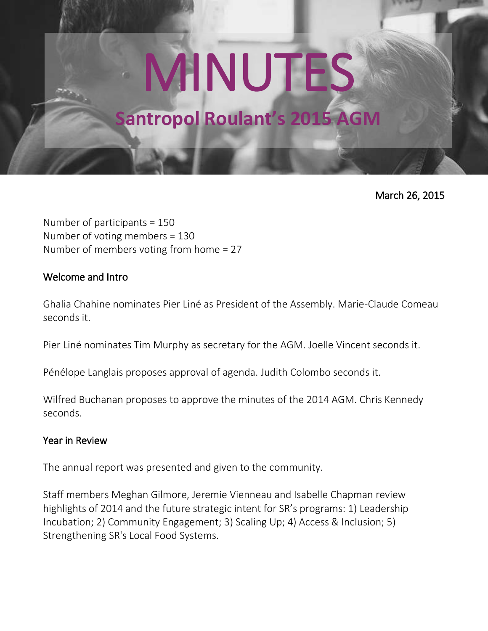# MINUTES

# **Santropol Roulant's 2015 AGM**

March 26, 2015

Number of participants = 150 Number of voting members = 130 Number of members voting from home = 27

#### Welcome and Intro

Ghalia Chahine nominates Pier Liné as President of the Assembly. Marie-Claude Comeau seconds it.

Pier Liné nominates Tim Murphy as secretary for the AGM. Joelle Vincent seconds it.

Pénélope Langlais proposes approval of agenda. Judith Colombo seconds it.

Wilfred Buchanan proposes to approve the minutes of the 2014 AGM. Chris Kennedy seconds.

## Year in Review

The annual report was presented and given to the community.

Staff members Meghan Gilmore, Jeremie Vienneau and Isabelle Chapman review highlights of 2014 and the future strategic intent for SR's programs: 1) Leadership Incubation; 2) Community Engagement; 3) Scaling Up; 4) Access & Inclusion; 5) Strengthening SR's Local Food Systems.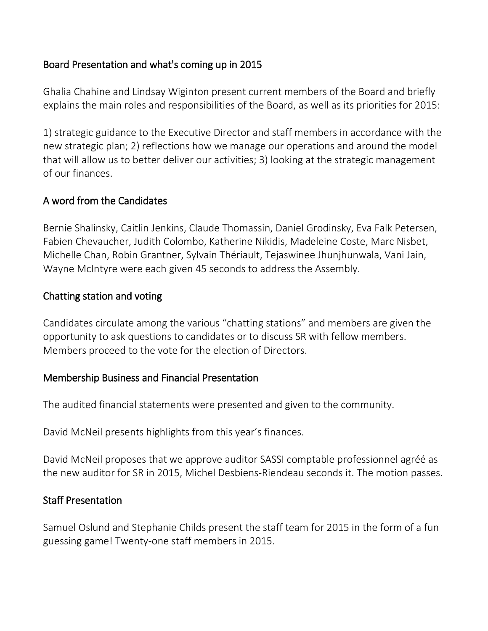# Board Presentation and what's coming up in 2015

Ghalia Chahine and Lindsay Wiginton present current members of the Board and briefly explains the main roles and responsibilities of the Board, as well as its priorities for 2015:

1) strategic guidance to the Executive Director and staff members in accordance with the new strategic plan; 2) reflections how we manage our operations and around the model that will allow us to better deliver our activities; 3) looking at the strategic management of our finances.

#### A word from the Candidates

Bernie Shalinsky, Caitlin Jenkins, Claude Thomassin, Daniel Grodinsky, Eva Falk Petersen, Fabien Chevaucher, Judith Colombo, Katherine Nikidis, Madeleine Coste, Marc Nisbet, Michelle Chan, Robin Grantner, Sylvain Thériault, Tejaswinee Jhunjhunwala, Vani Jain, Wayne McIntyre were each given 45 seconds to address the Assembly.

#### Chatting station and voting

Candidates circulate among the various "chatting stations" and members are given the opportunity to ask questions to candidates or to discuss SR with fellow members. Members proceed to the vote for the election of Directors.

#### Membership Business and Financial Presentation

The audited financial statements were presented and given to the community.

David McNeil presents highlights from this year's finances.

David McNeil proposes that we approve auditor SASSI comptable professionnel agréé as the new auditor for SR in 2015, Michel Desbiens-Riendeau seconds it. The motion passes.

## Staff Presentation

Samuel Oslund and Stephanie Childs present the staff team for 2015 in the form of a fun guessing game! Twenty-one staff members in 2015.